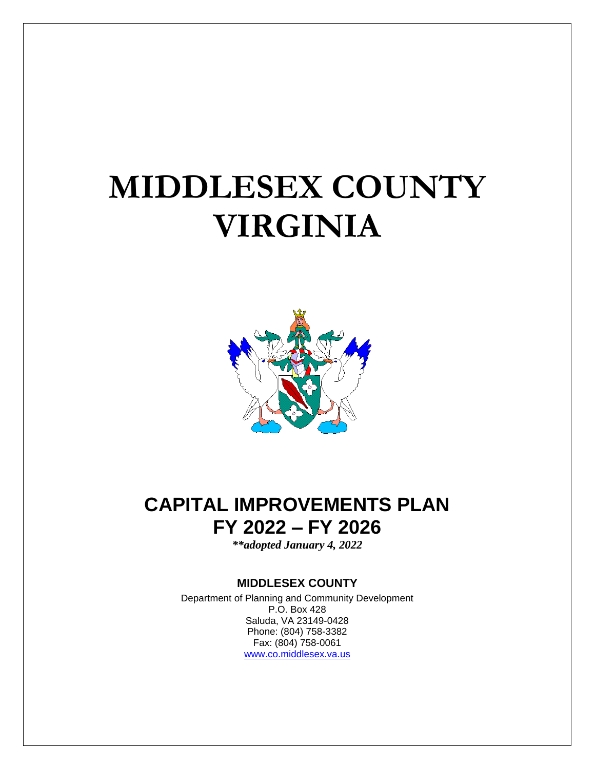# **MIDDLESEX COUNTY VIRGINIA**



# **CAPITAL IMPROVEMENTS PLAN FY 2022 – FY 2026**

*\*\*adopted January 4, 2022*

### **MIDDLESEX COUNTY**

Department of Planning and Community Development P.O. Box 428 Saluda, VA 23149-0428 Phone: (804) 758-3382 Fax: (804) 758-0061 [www.co.middlesex.va.us](http://www.co.middlesex.va.us/)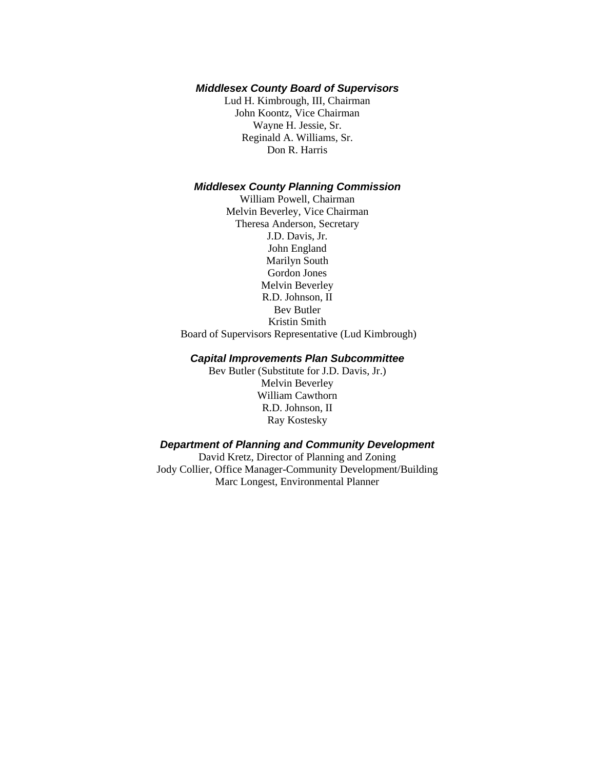#### *Middlesex County Board of Supervisors*

Lud H. Kimbrough, III, Chairman John Koontz, Vice Chairman Wayne H. Jessie, Sr. Reginald A. Williams, Sr. Don R. Harris

### *Middlesex County Planning Commission*

William Powell, Chairman Melvin Beverley, Vice Chairman Theresa Anderson, Secretary J.D. Davis, Jr. John England Marilyn South Gordon Jones Melvin Beverley R.D. Johnson, II Bev Butler Kristin Smith Board of Supervisors Representative (Lud Kimbrough)

#### *Capital Improvements Plan Subcommittee*

Bev Butler (Substitute for J.D. Davis, Jr.) Melvin Beverley William Cawthorn R.D. Johnson, II Ray Kostesky

### *Department of Planning and Community Development*

David Kretz, Director of Planning and Zoning Jody Collier, Office Manager-Community Development/Building Marc Longest, Environmental Planner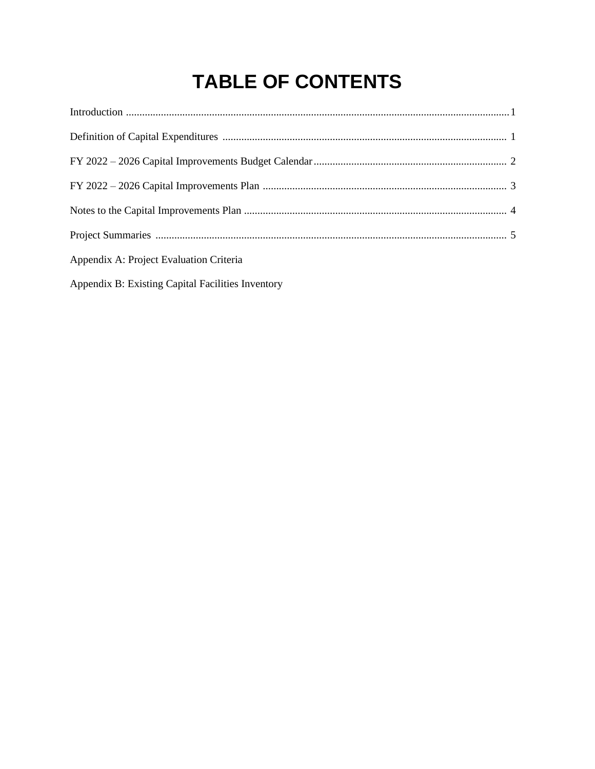# **TABLE OF CONTENTS**

| Appendix A: Project Evaluation Criteria           |
|---------------------------------------------------|
| Appendix B: Existing Capital Facilities Inventory |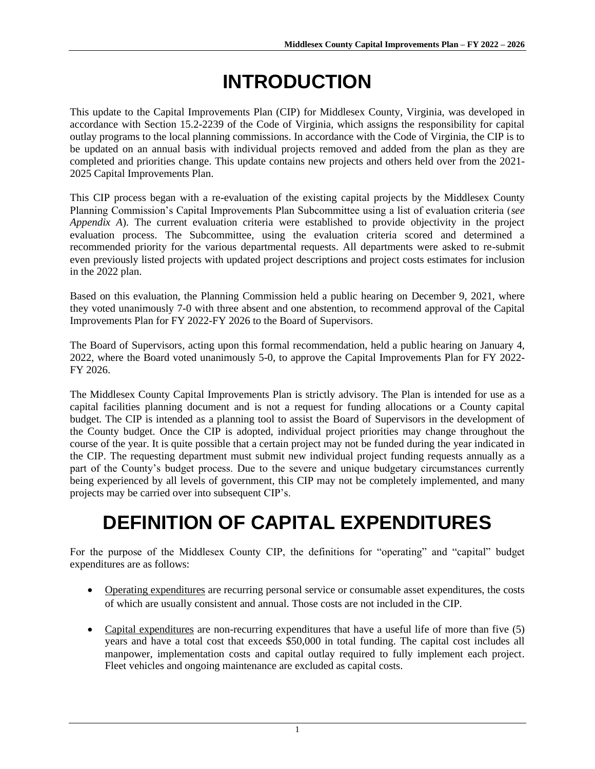# **INTRODUCTION**

This update to the Capital Improvements Plan (CIP) for Middlesex County, Virginia, was developed in accordance with Section 15.2-2239 of the Code of Virginia, which assigns the responsibility for capital outlay programs to the local planning commissions. In accordance with the Code of Virginia, the CIP is to be updated on an annual basis with individual projects removed and added from the plan as they are completed and priorities change. This update contains new projects and others held over from the 2021- 2025 Capital Improvements Plan.

This CIP process began with a re-evaluation of the existing capital projects by the Middlesex County Planning Commission's Capital Improvements Plan Subcommittee using a list of evaluation criteria (*see Appendix A*). The current evaluation criteria were established to provide objectivity in the project evaluation process. The Subcommittee, using the evaluation criteria scored and determined a recommended priority for the various departmental requests. All departments were asked to re-submit even previously listed projects with updated project descriptions and project costs estimates for inclusion in the 2022 plan.

Based on this evaluation, the Planning Commission held a public hearing on December 9, 2021, where they voted unanimously 7-0 with three absent and one abstention, to recommend approval of the Capital Improvements Plan for FY 2022-FY 2026 to the Board of Supervisors.

The Board of Supervisors, acting upon this formal recommendation, held a public hearing on January 4, 2022, where the Board voted unanimously 5-0, to approve the Capital Improvements Plan for FY 2022- FY 2026.

The Middlesex County Capital Improvements Plan is strictly advisory. The Plan is intended for use as a capital facilities planning document and is not a request for funding allocations or a County capital budget. The CIP is intended as a planning tool to assist the Board of Supervisors in the development of the County budget. Once the CIP is adopted, individual project priorities may change throughout the course of the year. It is quite possible that a certain project may not be funded during the year indicated in the CIP. The requesting department must submit new individual project funding requests annually as a part of the County's budget process. Due to the severe and unique budgetary circumstances currently being experienced by all levels of government, this CIP may not be completely implemented, and many projects may be carried over into subsequent CIP's.

# **DEFINITION OF CAPITAL EXPENDITURES**

For the purpose of the Middlesex County CIP, the definitions for "operating" and "capital" budget expenditures are as follows:

- Operating expenditures are recurring personal service or consumable asset expenditures, the costs of which are usually consistent and annual. Those costs are not included in the CIP.
- Capital expenditures are non-recurring expenditures that have a useful life of more than five (5) years and have a total cost that exceeds \$50,000 in total funding. The capital cost includes all manpower, implementation costs and capital outlay required to fully implement each project. Fleet vehicles and ongoing maintenance are excluded as capital costs.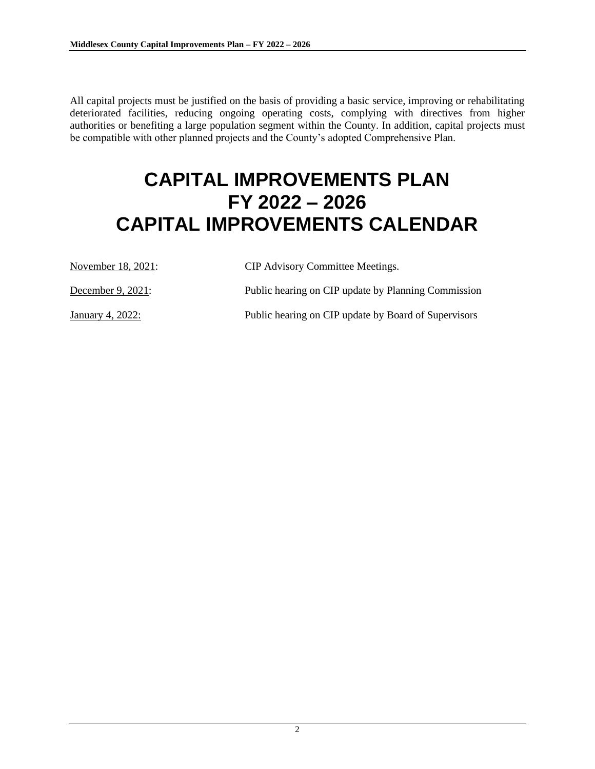All capital projects must be justified on the basis of providing a basic service, improving or rehabilitating deteriorated facilities, reducing ongoing operating costs, complying with directives from higher authorities or benefiting a large population segment within the County. In addition, capital projects must be compatible with other planned projects and the County's adopted Comprehensive Plan.

# **CAPITAL IMPROVEMENTS PLAN FY 2022 – 2026 CAPITAL IMPROVEMENTS CALENDAR**

| November 18, 2021:   | <b>CIP</b> Advisory Committee Meetings.              |
|----------------------|------------------------------------------------------|
| December 9, $2021$ : | Public hearing on CIP update by Planning Commission  |
| January 4, 2022:     | Public hearing on CIP update by Board of Supervisors |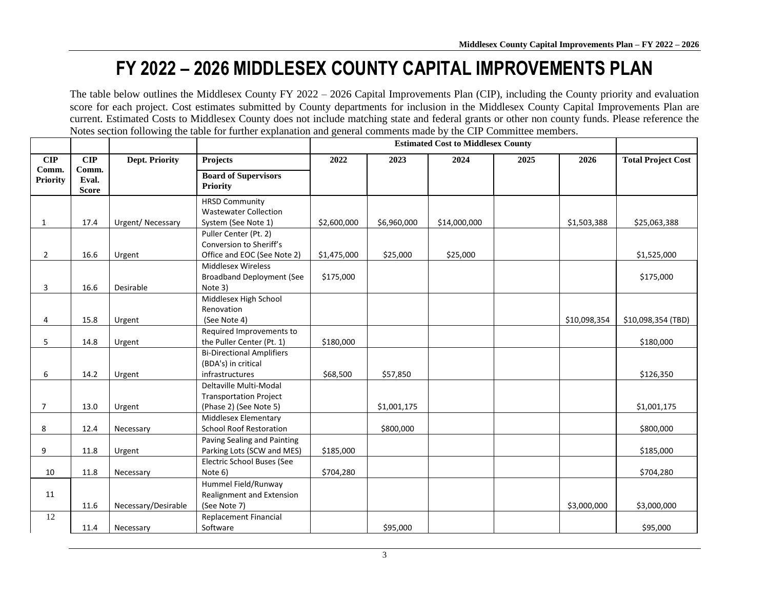# **FY 2022 – 2026 MIDDLESEX COUNTY CAPITAL IMPROVEMENTS PLAN**

The table below outlines the Middlesex County FY 2022 – 2026 Capital Improvements Plan (CIP), including the County priority and evaluation score for each project. Cost estimates submitted by County departments for inclusion in the Middlesex County Capital Improvements Plan are current. Estimated Costs to Middlesex County does not include matching state and federal grants or other non county funds. Please reference the Notes section following the table for further explanation and general comments made by the CIP Committee members.

|                          |                                |                       |                                                                                   | <b>Estimated Cost to Middlesex County</b> |             |              |      |              |                           |
|--------------------------|--------------------------------|-----------------------|-----------------------------------------------------------------------------------|-------------------------------------------|-------------|--------------|------|--------------|---------------------------|
| $\mathbf{CIP}$           | $\overline{\text{CIP}}$        | <b>Dept. Priority</b> | Projects                                                                          | 2022                                      | 2023        | 2024         | 2025 | 2026         | <b>Total Project Cost</b> |
| Comm.<br><b>Priority</b> | Comm.<br>Eval.<br><b>Score</b> |                       | <b>Board of Supervisors</b><br><b>Priority</b>                                    |                                           |             |              |      |              |                           |
| 1                        | 17.4                           | Urgent/Necessary      | <b>HRSD Community</b><br><b>Wastewater Collection</b><br>System (See Note 1)      | \$2,600,000                               | \$6,960,000 | \$14,000,000 |      | \$1,503,388  | \$25,063,388              |
| $\overline{2}$           | 16.6                           | Urgent                | Puller Center (Pt. 2)<br>Conversion to Sheriff's<br>Office and EOC (See Note 2)   | \$1,475,000                               | \$25,000    | \$25,000     |      |              | \$1,525,000               |
| 3                        | 16.6                           | Desirable             | <b>Middlesex Wireless</b><br><b>Broadband Deployment (See</b><br>Note 3)          | \$175,000                                 |             |              |      |              | \$175,000                 |
| 4                        | 15.8                           | Urgent                | Middlesex High School<br>Renovation<br>(See Note 4)                               |                                           |             |              |      | \$10,098,354 | \$10,098,354 (TBD)        |
| 5                        | 14.8                           | Urgent                | Required Improvements to<br>the Puller Center (Pt. 1)                             | \$180,000                                 |             |              |      |              | \$180,000                 |
| 6                        | 14.2                           | Urgent                | <b>Bi-Directional Amplifiers</b><br>(BDA's) in critical<br>infrastructures        | \$68,500                                  | \$57,850    |              |      |              | \$126,350                 |
| $\overline{7}$           | 13.0                           | Urgent                | Deltaville Multi-Modal<br><b>Transportation Project</b><br>(Phase 2) (See Note 5) |                                           | \$1,001,175 |              |      |              | \$1,001,175               |
| 8                        | 12.4                           | Necessary             | Middlesex Elementary<br><b>School Roof Restoration</b>                            |                                           | \$800,000   |              |      |              | \$800,000                 |
| 9                        | 11.8                           | Urgent                | Paving Sealing and Painting<br>Parking Lots (SCW and MES)                         | \$185,000                                 |             |              |      |              | \$185,000                 |
| 10                       | 11.8                           | Necessary             | Electric School Buses (See<br>Note 6)                                             | \$704,280                                 |             |              |      |              | \$704,280                 |
| 11                       | 11.6                           | Necessary/Desirable   | Hummel Field/Runway<br>Realignment and Extension<br>(See Note 7)                  |                                           |             |              |      | \$3,000,000  | \$3,000,000               |
| 12                       | 11.4                           | Necessary             | Replacement Financial<br>Software                                                 |                                           | \$95,000    |              |      |              | \$95,000                  |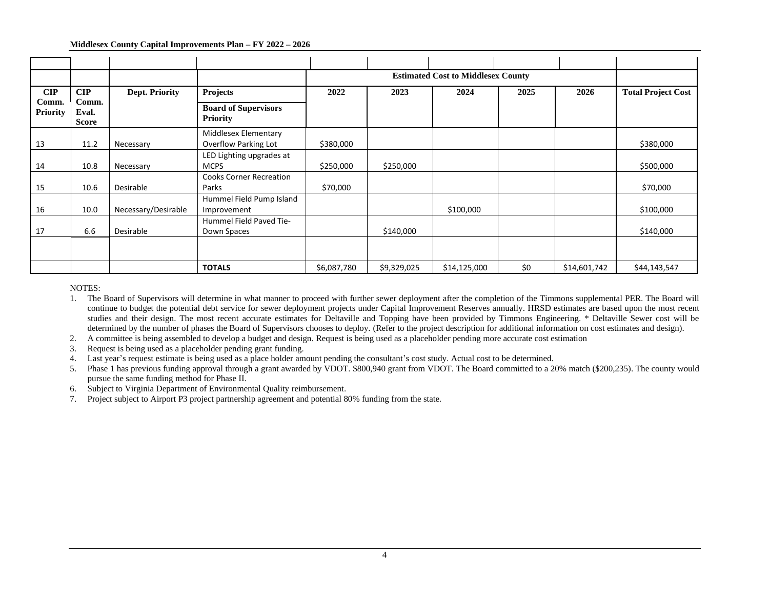#### **Middlesex County Capital Improvements Plan – FY 2022 – 2026**

|                          |                                |                       |                                                |             |             | <b>Estimated Cost to Middlesex County</b> |      |              |                           |
|--------------------------|--------------------------------|-----------------------|------------------------------------------------|-------------|-------------|-------------------------------------------|------|--------------|---------------------------|
| CIP                      | $\mathbf{CIP}$                 | <b>Dept. Priority</b> | Projects                                       | 2022        | 2023        | 2024                                      | 2025 | 2026         | <b>Total Project Cost</b> |
| Comm.<br><b>Priority</b> | Comm.<br>Eval.<br><b>Score</b> |                       | <b>Board of Supervisors</b><br><b>Priority</b> |             |             |                                           |      |              |                           |
|                          |                                |                       | Middlesex Elementary                           |             |             |                                           |      |              |                           |
| 13                       | 11.2                           | Necessary             | Overflow Parking Lot                           | \$380,000   |             |                                           |      |              | \$380,000                 |
|                          |                                |                       | LED Lighting upgrades at                       |             |             |                                           |      |              |                           |
| 14                       | 10.8                           | Necessary             | <b>MCPS</b>                                    | \$250,000   | \$250,000   |                                           |      |              | \$500,000                 |
|                          |                                |                       | <b>Cooks Corner Recreation</b>                 |             |             |                                           |      |              |                           |
| 15                       | 10.6                           | Desirable             | Parks                                          | \$70,000    |             |                                           |      |              | \$70,000                  |
|                          |                                |                       | Hummel Field Pump Island                       |             |             |                                           |      |              |                           |
| 16                       | 10.0                           | Necessary/Desirable   | Improvement                                    |             |             | \$100,000                                 |      |              | \$100,000                 |
|                          |                                |                       | Hummel Field Paved Tie-                        |             |             |                                           |      |              |                           |
| 17                       | 6.6                            | Desirable             | Down Spaces                                    |             | \$140,000   |                                           |      |              | \$140,000                 |
|                          |                                |                       |                                                |             |             |                                           |      |              |                           |
|                          |                                |                       | <b>TOTALS</b>                                  | \$6,087,780 | \$9,329,025 | \$14,125,000                              | \$0  | \$14,601,742 | \$44,143,547              |

#### NOTES:

1. The Board of Supervisors will determine in what manner to proceed with further sewer deployment after the completion of the Timmons supplemental PER. The Board will continue to budget the potential debt service for sewer deployment projects under Capital Improvement Reserves annually. HRSD estimates are based upon the most recent studies and their design. The most recent accurate estimates for Deltaville and Topping have been provided by Timmons Engineering. \* Deltaville Sewer cost will be determined by the number of phases the Board of Supervisors chooses to deploy. (Refer to the project description for additional information on cost estimates and design).

- 2. A committee is being assembled to develop a budget and design. Request is being used as a placeholder pending more accurate cost estimation
- 3. Request is being used as a placeholder pending grant funding.
- 4. Last year's request estimate is being used as a place holder amount pending the consultant's cost study. Actual cost to be determined.
- 5. Phase 1 has previous funding approval through a grant awarded by VDOT. \$800,940 grant from VDOT. The Board committed to a 20% match (\$200,235). The county would pursue the same funding method for Phase II.
- 6. Subject to Virginia Department of Environmental Quality reimbursement.
- 7. Project subject to Airport P3 project partnership agreement and potential 80% funding from the state.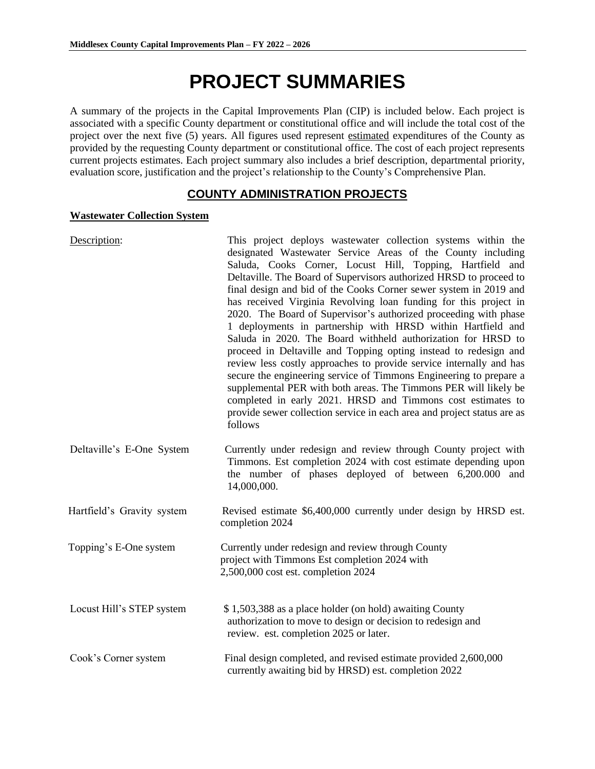# **PROJECT SUMMARIES**

A summary of the projects in the Capital Improvements Plan (CIP) is included below. Each project is associated with a specific County department or constitutional office and will include the total cost of the project over the next five (5) years. All figures used represent estimated expenditures of the County as provided by the requesting County department or constitutional office. The cost of each project represents current projects estimates. Each project summary also includes a brief description, departmental priority, evaluation score, justification and the project's relationship to the County's Comprehensive Plan.

## **COUNTY ADMINISTRATION PROJECTS**

#### **Wastewater Collection System**

| Description:               | This project deploys was tewater collection systems within the<br>designated Wastewater Service Areas of the County including<br>Saluda, Cooks Corner, Locust Hill, Topping, Hartfield and<br>Deltaville. The Board of Supervisors authorized HRSD to proceed to<br>final design and bid of the Cooks Corner sewer system in 2019 and<br>has received Virginia Revolving loan funding for this project in<br>2020. The Board of Supervisor's authorized proceeding with phase<br>1 deployments in partnership with HRSD within Hartfield and<br>Saluda in 2020. The Board withheld authorization for HRSD to<br>proceed in Deltaville and Topping opting instead to redesign and<br>review less costly approaches to provide service internally and has<br>secure the engineering service of Timmons Engineering to prepare a<br>supplemental PER with both areas. The Timmons PER will likely be<br>completed in early 2021. HRSD and Timmons cost estimates to<br>provide sewer collection service in each area and project status are as<br>follows |
|----------------------------|--------------------------------------------------------------------------------------------------------------------------------------------------------------------------------------------------------------------------------------------------------------------------------------------------------------------------------------------------------------------------------------------------------------------------------------------------------------------------------------------------------------------------------------------------------------------------------------------------------------------------------------------------------------------------------------------------------------------------------------------------------------------------------------------------------------------------------------------------------------------------------------------------------------------------------------------------------------------------------------------------------------------------------------------------------|
| Deltaville's E-One System  | Currently under redesign and review through County project with<br>Timmons. Est completion 2024 with cost estimate depending upon<br>the number of phases deployed of between 6,200.000 and<br>14,000,000.                                                                                                                                                                                                                                                                                                                                                                                                                                                                                                                                                                                                                                                                                                                                                                                                                                             |
| Hartfield's Gravity system | Revised estimate \$6,400,000 currently under design by HRSD est.<br>completion 2024                                                                                                                                                                                                                                                                                                                                                                                                                                                                                                                                                                                                                                                                                                                                                                                                                                                                                                                                                                    |
| Topping's E-One system     | Currently under redesign and review through County<br>project with Timmons Est completion 2024 with<br>2,500,000 cost est. completion 2024                                                                                                                                                                                                                                                                                                                                                                                                                                                                                                                                                                                                                                                                                                                                                                                                                                                                                                             |
| Locust Hill's STEP system  | \$1,503,388 as a place holder (on hold) awaiting County<br>authorization to move to design or decision to redesign and<br>review. est. completion 2025 or later.                                                                                                                                                                                                                                                                                                                                                                                                                                                                                                                                                                                                                                                                                                                                                                                                                                                                                       |
| Cook's Corner system       | Final design completed, and revised estimate provided 2,600,000<br>currently awaiting bid by HRSD) est. completion 2022                                                                                                                                                                                                                                                                                                                                                                                                                                                                                                                                                                                                                                                                                                                                                                                                                                                                                                                                |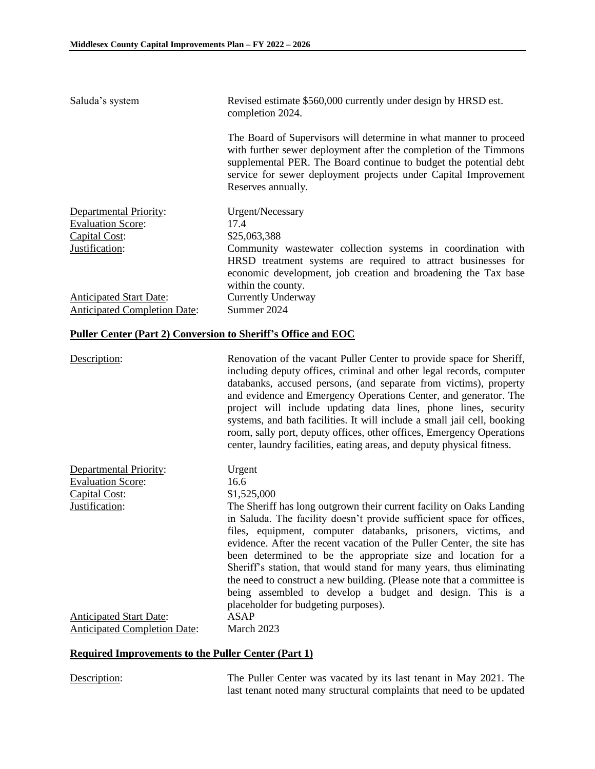| Saluda's system                                                            | Revised estimate \$560,000 currently under design by HRSD est.<br>completion 2024.                                                                                                                                                                                                                                                                                                                                                                                                                                                                                                                               |
|----------------------------------------------------------------------------|------------------------------------------------------------------------------------------------------------------------------------------------------------------------------------------------------------------------------------------------------------------------------------------------------------------------------------------------------------------------------------------------------------------------------------------------------------------------------------------------------------------------------------------------------------------------------------------------------------------|
|                                                                            | The Board of Supervisors will determine in what manner to proceed<br>with further sewer deployment after the completion of the Timmons<br>supplemental PER. The Board continue to budget the potential debt<br>service for sewer deployment projects under Capital Improvement<br>Reserves annually.                                                                                                                                                                                                                                                                                                             |
| Departmental Priority:<br><b>Evaluation Score:</b><br>Capital Cost:        | Urgent/Necessary<br>17.4<br>\$25,063,388                                                                                                                                                                                                                                                                                                                                                                                                                                                                                                                                                                         |
| Justification:                                                             | Community wastewater collection systems in coordination with<br>HRSD treatment systems are required to attract businesses for<br>economic development, job creation and broadening the Tax base<br>within the county.                                                                                                                                                                                                                                                                                                                                                                                            |
| <b>Anticipated Start Date:</b><br><b>Anticipated Completion Date:</b>      | <b>Currently Underway</b><br>Summer 2024                                                                                                                                                                                                                                                                                                                                                                                                                                                                                                                                                                         |
| <b>Puller Center (Part 2) Conversion to Sheriff's Office and EOC</b>       |                                                                                                                                                                                                                                                                                                                                                                                                                                                                                                                                                                                                                  |
| Description:                                                               | Renovation of the vacant Puller Center to provide space for Sheriff,<br>including deputy offices, criminal and other legal records, computer<br>databanks, accused persons, (and separate from victims), property<br>and evidence and Emergency Operations Center, and generator. The<br>project will include updating data lines, phone lines, security<br>systems, and bath facilities. It will include a small jail cell, booking<br>room, sally port, deputy offices, other offices, Emergency Operations<br>center, laundry facilities, eating areas, and deputy physical fitness.                          |
| <b>Departmental Priority:</b><br><b>Evaluation Score:</b><br>Capital Cost: | Urgent<br>16.6<br>\$1,525,000                                                                                                                                                                                                                                                                                                                                                                                                                                                                                                                                                                                    |
| Justification:                                                             | The Sheriff has long outgrown their current facility on Oaks Landing<br>in Saluda. The facility doesn't provide sufficient space for offices,<br>files, equipment, computer databanks, prisoners, victims, and<br>evidence. After the recent vacation of the Puller Center, the site has<br>been determined to be the appropriate size and location for a<br>Sheriff's station, that would stand for many years, thus eliminating<br>the need to construct a new building. (Please note that a committee is<br>being assembled to develop a budget and design. This is a<br>placeholder for budgeting purposes). |
| <b>Anticipated Start Date:</b><br><b>Anticipated Completion Date:</b>      | <b>ASAP</b><br>March 2023                                                                                                                                                                                                                                                                                                                                                                                                                                                                                                                                                                                        |

# **Required Improvements to the Puller Center (Part 1)**

Description: The Puller Center was vacated by its last tenant in May 2021. The last tenant noted many structural complaints that need to be updated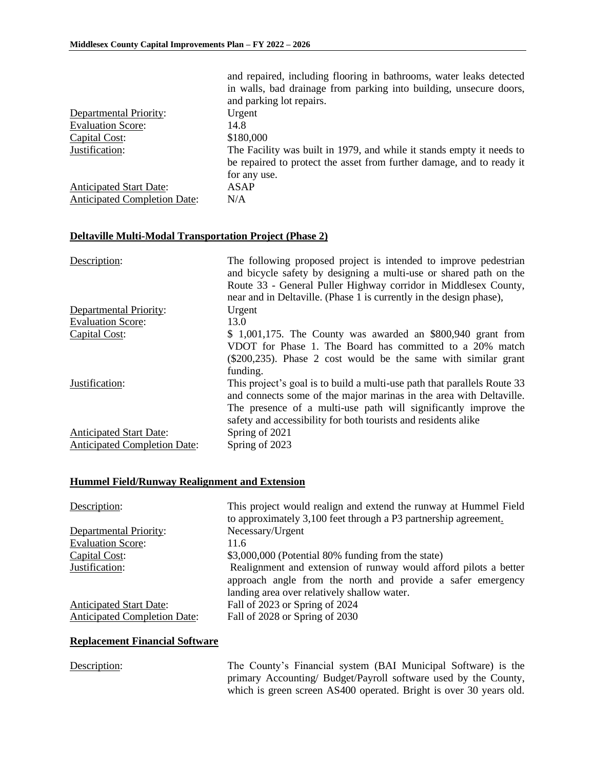|                                                                | and repaired, including flooring in bathrooms, water leaks detected<br>in walls, bad drainage from parking into building, unsecure doors,<br>and parking lot repairs.                                                                                                           |
|----------------------------------------------------------------|---------------------------------------------------------------------------------------------------------------------------------------------------------------------------------------------------------------------------------------------------------------------------------|
| Departmental Priority:                                         | Urgent                                                                                                                                                                                                                                                                          |
| <b>Evaluation Score:</b>                                       | 14.8                                                                                                                                                                                                                                                                            |
| Capital Cost:                                                  | \$180,000                                                                                                                                                                                                                                                                       |
| Justification:                                                 | The Facility was built in 1979, and while it stands empty it needs to<br>be repaired to protect the asset from further damage, and to ready it<br>for any use.                                                                                                                  |
| <b>Anticipated Start Date:</b>                                 | <b>ASAP</b>                                                                                                                                                                                                                                                                     |
| <b>Anticipated Completion Date:</b>                            | N/A                                                                                                                                                                                                                                                                             |
|                                                                |                                                                                                                                                                                                                                                                                 |
| <b>Deltaville Multi-Modal Transportation Project (Phase 2)</b> |                                                                                                                                                                                                                                                                                 |
| Description:                                                   | The following proposed project is intended to improve pedestrian<br>and bicycle safety by designing a multi-use or shared path on the<br>Route 33 - General Puller Highway corridor in Middlesex County,<br>near and in Deltaville. (Phase 1 is currently in the design phase), |
| Departmental Priority:                                         | Urgent                                                                                                                                                                                                                                                                          |
| <b>Evaluation Score:</b>                                       | 13.0                                                                                                                                                                                                                                                                            |
| Capital Cost:                                                  | $$1,001,175$ . The County was awarded an $$800,940$ grant from                                                                                                                                                                                                                  |
|                                                                | VDOT for Phase 1. The Board has committed to a 20% match                                                                                                                                                                                                                        |
|                                                                | (\$200,235). Phase 2 cost would be the same with similar grant                                                                                                                                                                                                                  |
|                                                                | funding.                                                                                                                                                                                                                                                                        |
| Justification:                                                 | This project's goal is to build a multi-use path that parallels Route 33                                                                                                                                                                                                        |
|                                                                | and connects some of the major marinas in the area with Deltaville.                                                                                                                                                                                                             |
|                                                                | The presence of a multi-use path will significantly improve the                                                                                                                                                                                                                 |
|                                                                | safety and accessibility for both tourists and residents alike                                                                                                                                                                                                                  |
| <b>Anticipated Start Date:</b>                                 | Spring of 2021                                                                                                                                                                                                                                                                  |
| <b>Anticipated Completion Date:</b>                            | Spring of 2023                                                                                                                                                                                                                                                                  |

### **Hummel Field/Runway Realignment and Extension**

| Description:                        | This project would realign and extend the runway at Hummel Field<br>to approximately 3,100 feet through a P3 partnership agreement.                                            |
|-------------------------------------|--------------------------------------------------------------------------------------------------------------------------------------------------------------------------------|
| Departmental Priority:              | Necessary/Urgent                                                                                                                                                               |
| <b>Evaluation Score:</b>            | 11.6                                                                                                                                                                           |
| Capital Cost:                       | \$3,000,000 (Potential 80% funding from the state)                                                                                                                             |
| Justification:                      | Realignment and extension of runway would afford pilots a better<br>approach angle from the north and provide a safer emergency<br>landing area over relatively shallow water. |
| <b>Anticipated Start Date:</b>      | Fall of 2023 or Spring of 2024                                                                                                                                                 |
| <b>Anticipated Completion Date:</b> | Fall of 2028 or Spring of 2030                                                                                                                                                 |

#### **Replacement Financial Software**

Description: The County's Financial system (BAI Municipal Software) is the primary Accounting/ Budget/Payroll software used by the County, which is green screen AS400 operated. Bright is over 30 years old.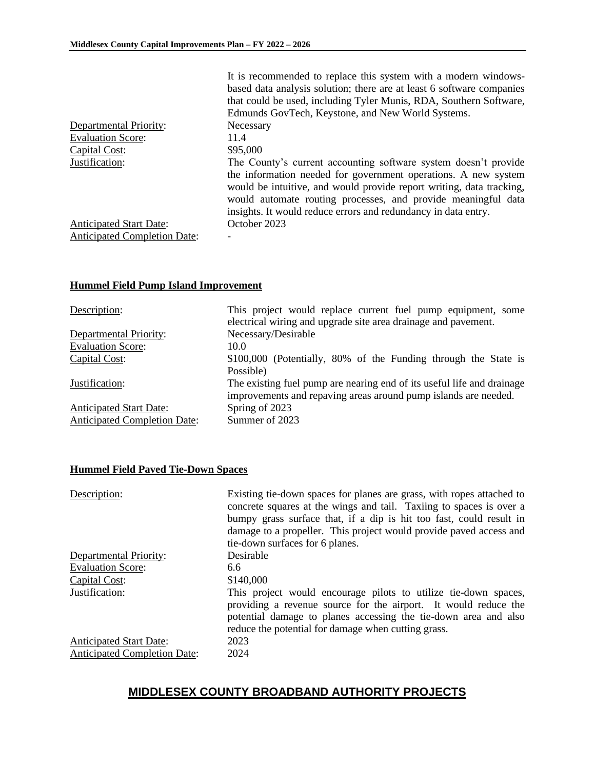|                                     | It is recommended to replace this system with a modern windows-<br>based data analysis solution; there are at least 6 software companies<br>that could be used, including Tyler Munis, RDA, Southern Software,<br>Edmunds GovTech, Keystone, and New World Systems.                                                                          |
|-------------------------------------|----------------------------------------------------------------------------------------------------------------------------------------------------------------------------------------------------------------------------------------------------------------------------------------------------------------------------------------------|
| Departmental Priority:              | Necessary                                                                                                                                                                                                                                                                                                                                    |
| <b>Evaluation Score:</b>            | 11.4                                                                                                                                                                                                                                                                                                                                         |
| Capital Cost:                       | \$95,000                                                                                                                                                                                                                                                                                                                                     |
| Justification:                      | The County's current accounting software system doesn't provide<br>the information needed for government operations. A new system<br>would be intuitive, and would provide report writing, data tracking,<br>would automate routing processes, and provide meaningful data<br>insights. It would reduce errors and redundancy in data entry. |
| <b>Anticipated Start Date:</b>      | October 2023                                                                                                                                                                                                                                                                                                                                 |
| <b>Anticipated Completion Date:</b> |                                                                                                                                                                                                                                                                                                                                              |

#### **Hummel Field Pump Island Improvement**

| Description:                        | This project would replace current fuel pump equipment, some<br>electrical wiring and upgrade site area drainage and pavement.            |
|-------------------------------------|-------------------------------------------------------------------------------------------------------------------------------------------|
| Departmental Priority:              | Necessary/Desirable                                                                                                                       |
| <b>Evaluation Score:</b>            | 10.0                                                                                                                                      |
| Capital Cost:                       | \$100,000 (Potentially, 80% of the Funding through the State is                                                                           |
|                                     | Possible)                                                                                                                                 |
| Justification:                      | The existing fuel pump are nearing end of its useful life and drainage<br>improvements and repaving areas around pump islands are needed. |
| <b>Anticipated Start Date:</b>      | Spring of 2023                                                                                                                            |
| <b>Anticipated Completion Date:</b> | Summer of 2023                                                                                                                            |

#### **Hummel Field Paved Tie-Down Spaces**

| Description:                                                          | Existing tie-down spaces for planes are grass, with ropes attached to<br>concrete squares at the wings and tail. Taxiing to spaces is over a<br>bumpy grass surface that, if a dip is hit too fast, could result in<br>damage to a propeller. This project would provide paved access and<br>tie-down surfaces for 6 planes. |
|-----------------------------------------------------------------------|------------------------------------------------------------------------------------------------------------------------------------------------------------------------------------------------------------------------------------------------------------------------------------------------------------------------------|
| Departmental Priority:                                                | Desirable                                                                                                                                                                                                                                                                                                                    |
| <b>Evaluation Score:</b>                                              | 6.6                                                                                                                                                                                                                                                                                                                          |
| Capital Cost:                                                         | \$140,000                                                                                                                                                                                                                                                                                                                    |
| Justification:                                                        | This project would encourage pilots to utilize tie-down spaces,<br>providing a revenue source for the airport. It would reduce the<br>potential damage to planes accessing the tie-down area and also<br>reduce the potential for damage when cutting grass.                                                                 |
| <b>Anticipated Start Date:</b><br><b>Anticipated Completion Date:</b> | 2023<br>2024                                                                                                                                                                                                                                                                                                                 |

# **MIDDLESEX COUNTY BROADBAND AUTHORITY PROJECTS**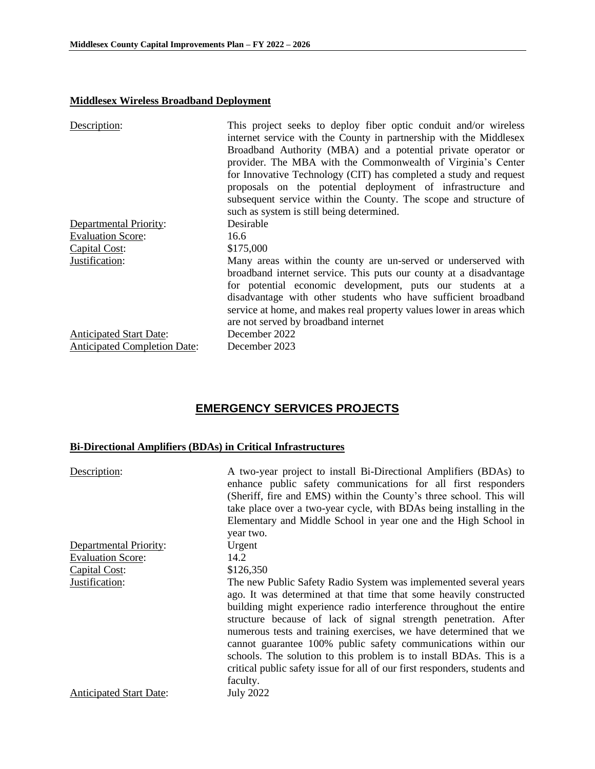#### **Middlesex Wireless Broadband Deployment**

| Description:                        | This project seeks to deploy fiber optic conduit and/or wireless<br>internet service with the County in partnership with the Middlesex<br>Broadband Authority (MBA) and a potential private operator or<br>provider. The MBA with the Commonwealth of Virginia's Center<br>for Innovative Technology (CIT) has completed a study and request<br>proposals on the potential deployment of infrastructure and<br>subsequent service within the County. The scope and structure of<br>such as system is still being determined. |
|-------------------------------------|------------------------------------------------------------------------------------------------------------------------------------------------------------------------------------------------------------------------------------------------------------------------------------------------------------------------------------------------------------------------------------------------------------------------------------------------------------------------------------------------------------------------------|
| <b>Departmental Priority:</b>       | Desirable                                                                                                                                                                                                                                                                                                                                                                                                                                                                                                                    |
| <b>Evaluation Score:</b>            | 16.6                                                                                                                                                                                                                                                                                                                                                                                                                                                                                                                         |
| Capital Cost:                       | \$175,000                                                                                                                                                                                                                                                                                                                                                                                                                                                                                                                    |
| Justification:                      | Many areas within the county are un-served or underserved with<br>broadband internet service. This puts our county at a disadvantage<br>for potential economic development, puts our students at a<br>disadvantage with other students who have sufficient broadband<br>service at home, and makes real property values lower in areas which<br>are not served by broadband internet                                                                                                                                         |
| <b>Anticipated Start Date:</b>      | December 2022                                                                                                                                                                                                                                                                                                                                                                                                                                                                                                                |
| <b>Anticipated Completion Date:</b> | December 2023                                                                                                                                                                                                                                                                                                                                                                                                                                                                                                                |

# **EMERGENCY SERVICES PROJECTS**

### **Bi-Directional Amplifiers (BDAs) in Critical Infrastructures**

| Description:                   | A two-year project to install Bi-Directional Amplifiers (BDAs) to<br>enhance public safety communications for all first responders<br>(Sheriff, fire and EMS) within the County's three school. This will<br>take place over a two-year cycle, with BDAs being installing in the<br>Elementary and Middle School in year one and the High School in<br>year two.                                                                                                                                                                                                                      |
|--------------------------------|---------------------------------------------------------------------------------------------------------------------------------------------------------------------------------------------------------------------------------------------------------------------------------------------------------------------------------------------------------------------------------------------------------------------------------------------------------------------------------------------------------------------------------------------------------------------------------------|
| Departmental Priority:         | Urgent                                                                                                                                                                                                                                                                                                                                                                                                                                                                                                                                                                                |
| <b>Evaluation Score:</b>       | 14.2                                                                                                                                                                                                                                                                                                                                                                                                                                                                                                                                                                                  |
| Capital Cost:                  | \$126,350                                                                                                                                                                                                                                                                                                                                                                                                                                                                                                                                                                             |
| Justification:                 | The new Public Safety Radio System was implemented several years<br>ago. It was determined at that time that some heavily constructed<br>building might experience radio interference throughout the entire<br>structure because of lack of signal strength penetration. After<br>numerous tests and training exercises, we have determined that we<br>cannot guarantee 100% public safety communications within our<br>schools. The solution to this problem is to install BDAs. This is a<br>critical public safety issue for all of our first responders, students and<br>faculty. |
| <b>Anticipated Start Date:</b> | <b>July 2022</b>                                                                                                                                                                                                                                                                                                                                                                                                                                                                                                                                                                      |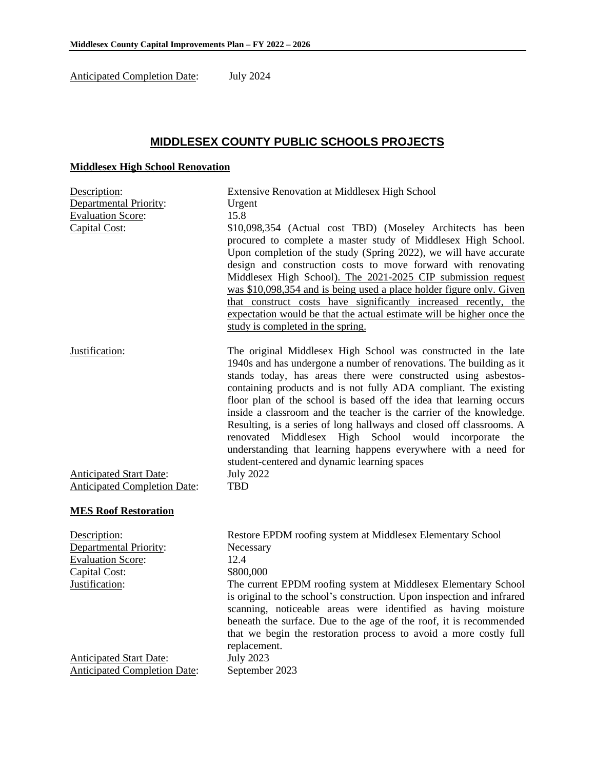Anticipated Completion Date: July 2024

# **MIDDLESEX COUNTY PUBLIC SCHOOLS PROJECTS**

### **Middlesex High School Renovation**

| Description:                                                                                                 | <b>Extensive Renovation at Middlesex High School</b>                                                                                                                                                                                                                                                                                                                                                                                                                                                                                                                                                                                                                                                |
|--------------------------------------------------------------------------------------------------------------|-----------------------------------------------------------------------------------------------------------------------------------------------------------------------------------------------------------------------------------------------------------------------------------------------------------------------------------------------------------------------------------------------------------------------------------------------------------------------------------------------------------------------------------------------------------------------------------------------------------------------------------------------------------------------------------------------------|
| <b>Departmental Priority:</b>                                                                                | Urgent                                                                                                                                                                                                                                                                                                                                                                                                                                                                                                                                                                                                                                                                                              |
| <b>Evaluation Score:</b>                                                                                     | 15.8                                                                                                                                                                                                                                                                                                                                                                                                                                                                                                                                                                                                                                                                                                |
| Capital Cost:                                                                                                | \$10,098,354 (Actual cost TBD) (Moseley Architects has been<br>procured to complete a master study of Middlesex High School.<br>Upon completion of the study (Spring 2022), we will have accurate<br>design and construction costs to move forward with renovating<br>Middlesex High School). The 2021-2025 CIP submission request<br>was \$10,098,354 and is being used a place holder figure only. Given<br>that construct costs have significantly increased recently, the<br>expectation would be that the actual estimate will be higher once the<br>study is completed in the spring.                                                                                                         |
| Justification:<br><b>Anticipated Start Date:</b>                                                             | The original Middlesex High School was constructed in the late<br>1940s and has undergone a number of renovations. The building as it<br>stands today, has areas there were constructed using asbestos-<br>containing products and is not fully ADA compliant. The existing<br>floor plan of the school is based off the idea that learning occurs<br>inside a classroom and the teacher is the carrier of the knowledge.<br>Resulting, is a series of long hallways and closed off classrooms. A<br>renovated Middlesex High School would incorporate<br>the<br>understanding that learning happens everywhere with a need for<br>student-centered and dynamic learning spaces<br><b>July 2022</b> |
| <b>Anticipated Completion Date:</b>                                                                          | <b>TBD</b>                                                                                                                                                                                                                                                                                                                                                                                                                                                                                                                                                                                                                                                                                          |
| <b>MES Roof Restoration</b>                                                                                  |                                                                                                                                                                                                                                                                                                                                                                                                                                                                                                                                                                                                                                                                                                     |
| Description:<br><b>Departmental Priority:</b><br><b>Evaluation Score:</b><br>Capital Cost:<br>Justification: | Restore EPDM roofing system at Middlesex Elementary School<br>Necessary<br>12.4<br>\$800,000<br>The current EPDM roofing system at Middlesex Elementary School<br>is original to the school's construction. Upon inspection and infrared<br>scanning, noticeable areas were identified as having moisture<br>beneath the surface. Due to the age of the roof, it is recommended<br>that we begin the restoration process to avoid a more costly full<br>replacement.                                                                                                                                                                                                                                |
| <b>Anticipated Start Date:</b><br><b>Anticipated Completion Date:</b>                                        | <b>July 2023</b><br>September 2023                                                                                                                                                                                                                                                                                                                                                                                                                                                                                                                                                                                                                                                                  |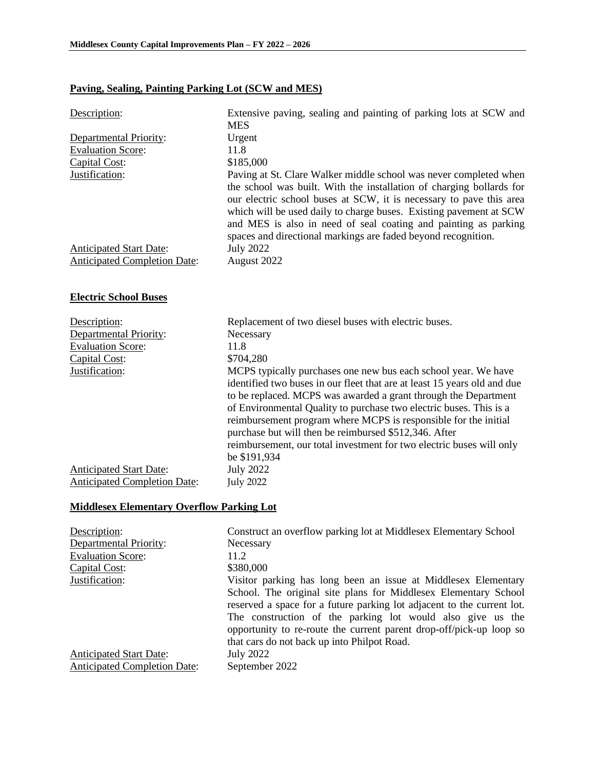# **Paving, Sealing, Painting Parking Lot (SCW and MES)**

| Description:                                     | Extensive paving, sealing and painting of parking lots at SCW and<br><b>MES</b>                                                                                                                                                                                                                                                                                                                                                                                                                         |
|--------------------------------------------------|---------------------------------------------------------------------------------------------------------------------------------------------------------------------------------------------------------------------------------------------------------------------------------------------------------------------------------------------------------------------------------------------------------------------------------------------------------------------------------------------------------|
| Departmental Priority:                           | Urgent                                                                                                                                                                                                                                                                                                                                                                                                                                                                                                  |
| <b>Evaluation Score:</b>                         | 11.8                                                                                                                                                                                                                                                                                                                                                                                                                                                                                                    |
| Capital Cost:                                    | \$185,000                                                                                                                                                                                                                                                                                                                                                                                                                                                                                               |
| Justification:                                   | Paving at St. Clare Walker middle school was never completed when<br>the school was built. With the installation of charging bollards for<br>our electric school buses at SCW, it is necessary to pave this area<br>which will be used daily to charge buses. Existing pavement at SCW<br>and MES is also in need of seal coating and painting as parking<br>spaces and directional markings are faded beyond recognition.                                                                              |
| <b>Anticipated Start Date:</b>                   | <b>July 2022</b>                                                                                                                                                                                                                                                                                                                                                                                                                                                                                        |
| <b>Anticipated Completion Date:</b>              | August 2022                                                                                                                                                                                                                                                                                                                                                                                                                                                                                             |
|                                                  |                                                                                                                                                                                                                                                                                                                                                                                                                                                                                                         |
| <b>Electric School Buses</b>                     |                                                                                                                                                                                                                                                                                                                                                                                                                                                                                                         |
| Description:                                     | Replacement of two diesel buses with electric buses.                                                                                                                                                                                                                                                                                                                                                                                                                                                    |
| Departmental Priority:                           | Necessary                                                                                                                                                                                                                                                                                                                                                                                                                                                                                               |
| <b>Evaluation Score:</b>                         | 11.8                                                                                                                                                                                                                                                                                                                                                                                                                                                                                                    |
| Capital Cost:                                    | \$704,280                                                                                                                                                                                                                                                                                                                                                                                                                                                                                               |
| Justification:                                   | MCPS typically purchases one new bus each school year. We have<br>identified two buses in our fleet that are at least 15 years old and due<br>to be replaced. MCPS was awarded a grant through the Department<br>of Environmental Quality to purchase two electric buses. This is a<br>reimbursement program where MCPS is responsible for the initial<br>purchase but will then be reimbursed \$512,346. After<br>reimbursement, our total investment for two electric buses will only<br>be \$191,934 |
| <b>Anticipated Start Date:</b>                   | <b>July 2022</b>                                                                                                                                                                                                                                                                                                                                                                                                                                                                                        |
| <b>Anticipated Completion Date:</b>              | <b>July 2022</b>                                                                                                                                                                                                                                                                                                                                                                                                                                                                                        |
| <b>Middlesex Elementary Overflow Parking Lot</b> |                                                                                                                                                                                                                                                                                                                                                                                                                                                                                                         |
| Description:                                     | Construct an overflow parking lot at Middlesex Elementary School                                                                                                                                                                                                                                                                                                                                                                                                                                        |

| Description.                        | Construct all overflow parking for at Middlesex Elementary School                                                                                                                                                                                                                                                             |
|-------------------------------------|-------------------------------------------------------------------------------------------------------------------------------------------------------------------------------------------------------------------------------------------------------------------------------------------------------------------------------|
| <b>Departmental Priority:</b>       | Necessary                                                                                                                                                                                                                                                                                                                     |
| <b>Evaluation Score:</b>            | 11.2                                                                                                                                                                                                                                                                                                                          |
| Capital Cost:                       | \$380,000                                                                                                                                                                                                                                                                                                                     |
| Justification:                      | Visitor parking has long been an issue at Middlesex Elementary                                                                                                                                                                                                                                                                |
|                                     | School. The original site plans for Middlesex Elementary School<br>reserved a space for a future parking lot adjacent to the current lot.<br>The construction of the parking lot would also give us the<br>opportunity to re-route the current parent drop-off/pick-up loop so<br>that cars do not back up into Philpot Road. |
| <b>Anticipated Start Date:</b>      | <b>July 2022</b>                                                                                                                                                                                                                                                                                                              |
|                                     |                                                                                                                                                                                                                                                                                                                               |
| <b>Anticipated Completion Date:</b> | September 2022                                                                                                                                                                                                                                                                                                                |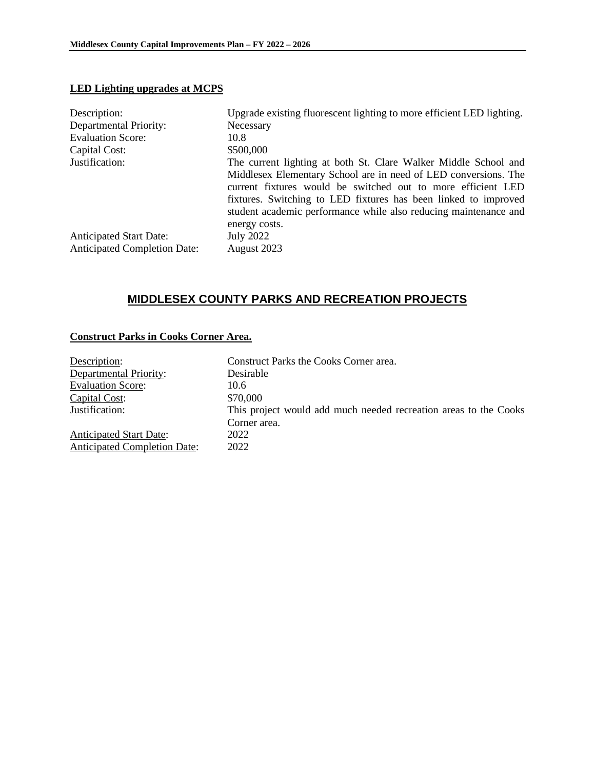#### **LED Lighting upgrades at MCPS**

| Description:                        | Upgrade existing fluorescent lighting to more efficient LED lighting.                                                                                                                                                                                                                                                                                      |
|-------------------------------------|------------------------------------------------------------------------------------------------------------------------------------------------------------------------------------------------------------------------------------------------------------------------------------------------------------------------------------------------------------|
| Departmental Priority:              | Necessary                                                                                                                                                                                                                                                                                                                                                  |
| <b>Evaluation Score:</b>            | 10.8                                                                                                                                                                                                                                                                                                                                                       |
| Capital Cost:                       | \$500,000                                                                                                                                                                                                                                                                                                                                                  |
| Justification:                      | The current lighting at both St. Clare Walker Middle School and<br>Middlesex Elementary School are in need of LED conversions. The<br>current fixtures would be switched out to more efficient LED<br>fixtures. Switching to LED fixtures has been linked to improved<br>student academic performance while also reducing maintenance and<br>energy costs. |
| <b>Anticipated Start Date:</b>      | July 2022                                                                                                                                                                                                                                                                                                                                                  |
| <b>Anticipated Completion Date:</b> | August 2023                                                                                                                                                                                                                                                                                                                                                |

# **MIDDLESEX COUNTY PARKS AND RECREATION PROJECTS**

## **Construct Parks in Cooks Corner Area.**

| Description:                        | Construct Parks the Cooks Corner area.                           |
|-------------------------------------|------------------------------------------------------------------|
| <b>Departmental Priority:</b>       | Desirable                                                        |
| <b>Evaluation Score:</b>            | 10.6                                                             |
| Capital Cost:                       | \$70,000                                                         |
| Justification:                      | This project would add much needed recreation areas to the Cooks |
|                                     | Corner area.                                                     |
| <b>Anticipated Start Date:</b>      | 2022                                                             |
| <b>Anticipated Completion Date:</b> | 2022                                                             |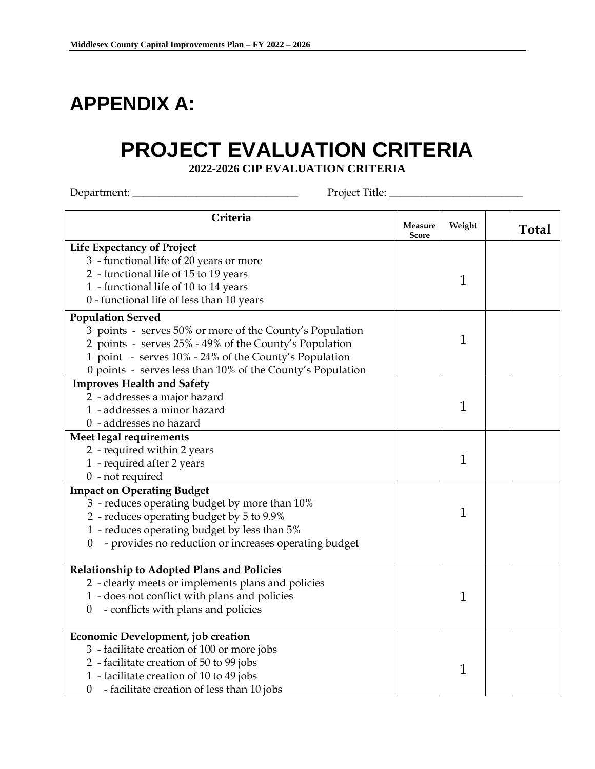# **APPENDIX A:**

# **PROJECT EVALUATION CRITERIA**

**2022-2026 CIP EVALUATION CRITERIA**

Department: \_\_\_\_\_\_\_\_\_\_\_\_\_\_\_\_\_\_\_\_\_\_\_\_\_\_\_\_\_\_\_ Project Title: \_\_\_\_\_\_\_\_\_\_\_\_\_\_\_\_\_\_\_\_\_\_\_\_\_

| Criteria                                                                | <b>Measure</b><br><b>Score</b> | Weight       | <b>Total</b> |
|-------------------------------------------------------------------------|--------------------------------|--------------|--------------|
| <b>Life Expectancy of Project</b>                                       |                                |              |              |
| 3 - functional life of 20 years or more                                 |                                |              |              |
| 2 - functional life of 15 to 19 years                                   |                                |              |              |
| 1 - functional life of 10 to 14 years                                   |                                | $\mathbf{1}$ |              |
| 0 - functional life of less than 10 years                               |                                |              |              |
| <b>Population Served</b>                                                |                                |              |              |
| 3 points - serves 50% or more of the County's Population                |                                |              |              |
| 2 points - serves 25% - 49% of the County's Population                  |                                | $\mathbf{1}$ |              |
| 1 point - serves 10% - 24% of the County's Population                   |                                |              |              |
| 0 points - serves less than 10% of the County's Population              |                                |              |              |
| <b>Improves Health and Safety</b>                                       |                                |              |              |
| 2 - addresses a major hazard                                            |                                |              |              |
| 1 - addresses a minor hazard                                            |                                | 1            |              |
| 0 - addresses no hazard                                                 |                                |              |              |
| Meet legal requirements                                                 |                                |              |              |
| 2 - required within 2 years                                             |                                |              |              |
| 1 - required after 2 years                                              |                                | 1            |              |
| $0$ - not required                                                      |                                |              |              |
| <b>Impact on Operating Budget</b>                                       |                                |              |              |
| 3 - reduces operating budget by more than 10%                           |                                |              |              |
| 2 - reduces operating budget by 5 to 9.9%                               |                                | 1            |              |
| 1 - reduces operating budget by less than 5%                            |                                |              |              |
| - provides no reduction or increases operating budget<br>$\overline{0}$ |                                |              |              |
| Relationship to Adopted Plans and Policies                              |                                |              |              |
| 2 - clearly meets or implements plans and policies                      |                                |              |              |
| 1 - does not conflict with plans and policies                           |                                | $\mathbf{1}$ |              |
| - conflicts with plans and policies<br>$\overline{0}$                   |                                |              |              |
|                                                                         |                                |              |              |
| Economic Development, job creation                                      |                                |              |              |
| 3 - facilitate creation of 100 or more jobs                             |                                |              |              |
| 2 - facilitate creation of 50 to 99 jobs                                |                                | 1            |              |
| 1 - facilitate creation of 10 to 49 jobs                                |                                |              |              |
| - facilitate creation of less than 10 jobs<br>$\theta$                  |                                |              |              |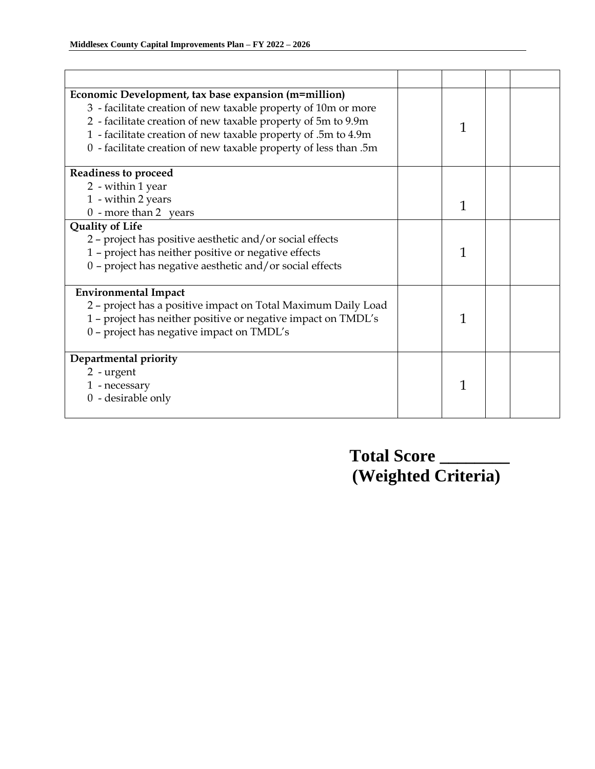| Economic Development, tax base expansion (m=million)<br>3 - facilitate creation of new taxable property of 10m or more<br>2 - facilitate creation of new taxable property of 5m to 9.9m<br>1 - facilitate creation of new taxable property of .5m to 4.9m<br>0 - facilitate creation of new taxable property of less than .5m | 1 |  |
|-------------------------------------------------------------------------------------------------------------------------------------------------------------------------------------------------------------------------------------------------------------------------------------------------------------------------------|---|--|
| <b>Readiness to proceed</b>                                                                                                                                                                                                                                                                                                   |   |  |
| 2 - within 1 year                                                                                                                                                                                                                                                                                                             |   |  |
| 1 - within 2 years                                                                                                                                                                                                                                                                                                            | 1 |  |
| $0$ - more than 2 years                                                                                                                                                                                                                                                                                                       |   |  |
| <b>Quality of Life</b><br>2 - project has positive aesthetic and/or social effects<br>1 - project has neither positive or negative effects<br>0 - project has negative aesthetic and/or social effects                                                                                                                        | 1 |  |
| <b>Environmental Impact</b>                                                                                                                                                                                                                                                                                                   |   |  |
| 2 - project has a positive impact on Total Maximum Daily Load<br>1 - project has neither positive or negative impact on TMDL's<br>0 - project has negative impact on TMDL's                                                                                                                                                   | 1 |  |
| Departmental priority                                                                                                                                                                                                                                                                                                         |   |  |
| 2 - urgent<br>1 - necessary<br>$0 -$ desirable only                                                                                                                                                                                                                                                                           | 1 |  |

 **Total Score \_\_\_\_\_\_\_\_ (Weighted Criteria)**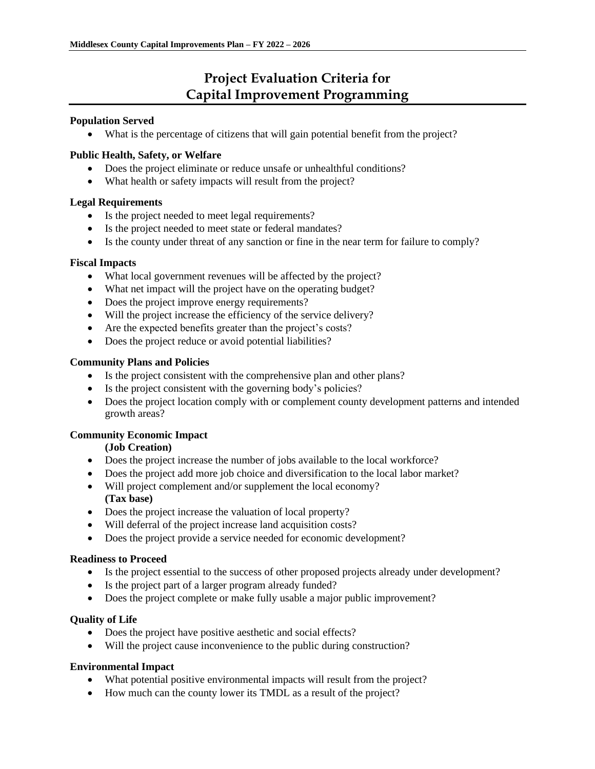# **Project Evaluation Criteria for Capital Improvement Programming**

#### **Population Served**

• What is the percentage of citizens that will gain potential benefit from the project?

### **Public Health, Safety, or Welfare**

- Does the project eliminate or reduce unsafe or unhealthful conditions?
- What health or safety impacts will result from the project?

#### **Legal Requirements**

- Is the project needed to meet legal requirements?
- Is the project needed to meet state or federal mandates?
- Is the county under threat of any sanction or fine in the near term for failure to comply?

#### **Fiscal Impacts**

- What local government revenues will be affected by the project?
- What net impact will the project have on the operating budget?
- Does the project improve energy requirements?
- Will the project increase the efficiency of the service delivery?
- Are the expected benefits greater than the project's costs?
- Does the project reduce or avoid potential liabilities?

### **Community Plans and Policies**

- Is the project consistent with the comprehensive plan and other plans?
- Is the project consistent with the governing body's policies?
- Does the project location comply with or complement county development patterns and intended growth areas?

### **Community Economic Impact**

#### **(Job Creation)**

- Does the project increase the number of jobs available to the local workforce?
- Does the project add more job choice and diversification to the local labor market?
- Will project complement and/or supplement the local economy? **(Tax base)**
- Does the project increase the valuation of local property?
- Will deferral of the project increase land acquisition costs?
- Does the project provide a service needed for economic development?

#### **Readiness to Proceed**

- Is the project essential to the success of other proposed projects already under development?
- Is the project part of a larger program already funded?
- Does the project complete or make fully usable a major public improvement?

#### **Quality of Life**

- Does the project have positive aesthetic and social effects?
- Will the project cause inconvenience to the public during construction?

### **Environmental Impact**

- What potential positive environmental impacts will result from the project?
- How much can the county lower its TMDL as a result of the project?